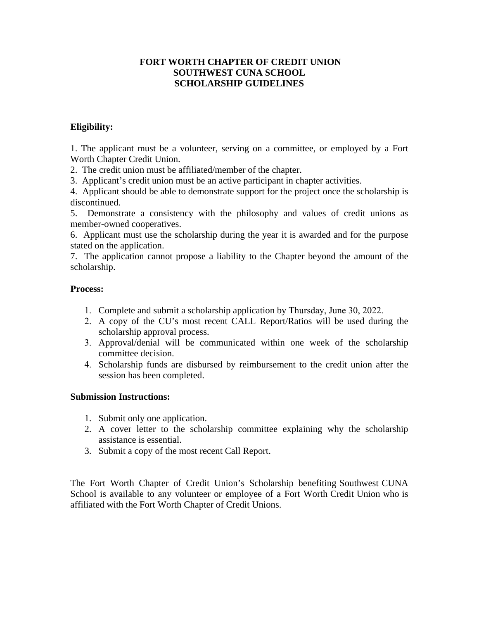### **FORT WORTH CHAPTER OF CREDIT UNION SOUTHWEST CUNA SCHOOL SCHOLARSHIP GUIDELINES**

## **Eligibility:**

1. The applicant must be a volunteer, serving on a committee, or employed by a Fort Worth Chapter Credit Union.

2. The credit union must be affiliated/member of the chapter.

3. Applicant's credit union must be an active participant in chapter activities.

4. Applicant should be able to demonstrate support for the project once the scholarship is discontinued.

5. Demonstrate a consistency with the philosophy and values of credit unions as member-owned cooperatives.

6. Applicant must use the scholarship during the year it is awarded and for the purpose stated on the application.

7. The application cannot propose a liability to the Chapter beyond the amount of the scholarship.

### **Process:**

- 1. Complete and submit a scholarship application by Thursday, June 30, 2022.
- 2. A copy of the CU's most recent CALL Report/Ratios will be used during the scholarship approval process.
- 3. Approval/denial will be communicated within one week of the scholarship committee decision.
- 4. Scholarship funds are disbursed by reimbursement to the credit union after the session has been completed.

#### **Submission Instructions:**

- 1. Submit only one application.
- 2. A cover letter to the scholarship committee explaining why the scholarship assistance is essential.
- 3. Submit a copy of the most recent Call Report.

The Fort Worth Chapter of Credit Union's Scholarship benefiting Southwest CUNA School is available to any volunteer or employee of a Fort Worth Credit Union who is affiliated with the Fort Worth Chapter of Credit Unions.